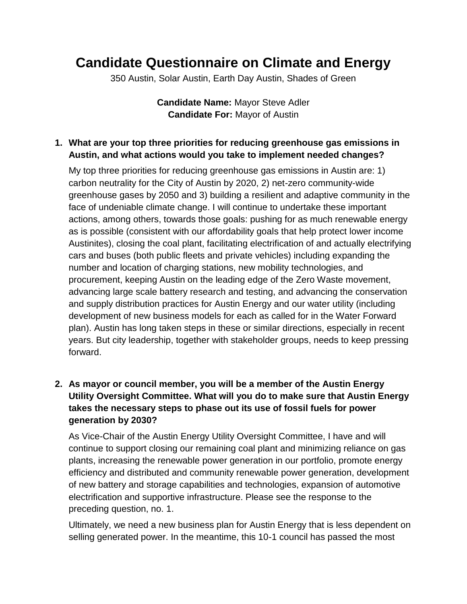## **Candidate Questionnaire on Climate and Energy**

350 Austin, Solar Austin, Earth Day Austin, Shades of Green

**Candidate Name:** Mayor Steve Adler **Candidate For:** Mayor of Austin

## **1. What are your top three priorities for reducing greenhouse gas emissions in Austin, and what actions would you take to implement needed changes?**

My top three priorities for reducing greenhouse gas emissions in Austin are: 1) carbon neutrality for the City of Austin by 2020, 2) net-zero community-wide greenhouse gases by 2050 and 3) building a resilient and adaptive community in the face of undeniable climate change. I will continue to undertake these important actions, among others, towards those goals: pushing for as much renewable energy as is possible (consistent with our affordability goals that help protect lower income Austinites), closing the coal plant, facilitating electrification of and actually electrifying cars and buses (both public fleets and private vehicles) including expanding the number and location of charging stations, new mobility technologies, and procurement, keeping Austin on the leading edge of the Zero Waste movement, advancing large scale battery research and testing, and advancing the conservation and supply distribution practices for Austin Energy and our water utility (including development of new business models for each as called for in the Water Forward plan). Austin has long taken steps in these or similar directions, especially in recent years. But city leadership, together with stakeholder groups, needs to keep pressing forward.

## **2. As mayor or council member, you will be a member of the Austin Energy Utility Oversight Committee. What will you do to make sure that Austin Energy takes the necessary steps to phase out its use of fossil fuels for power generation by 2030?**

As Vice-Chair of the Austin Energy Utility Oversight Committee, I have and will continue to support closing our remaining coal plant and minimizing reliance on gas plants, increasing the renewable power generation in our portfolio, promote energy efficiency and distributed and community renewable power generation, development of new battery and storage capabilities and technologies, expansion of automotive electrification and supportive infrastructure. Please see the response to the preceding question, no. 1.

Ultimately, we need a new business plan for Austin Energy that is less dependent on selling generated power. In the meantime, this 10-1 council has passed the most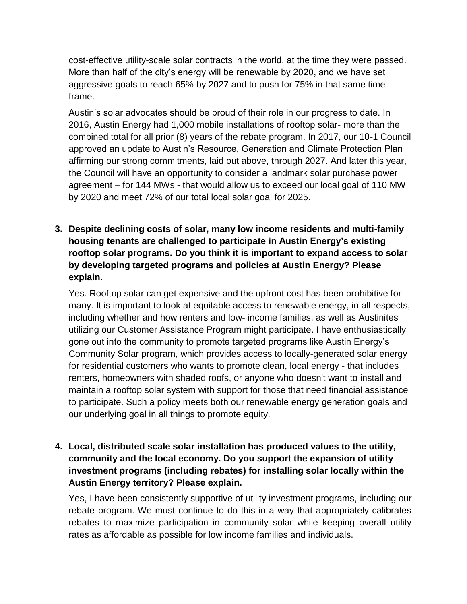cost-effective utility-scale solar contracts in the world, at the time they were passed. More than half of the city's energy will be renewable by 2020, and we have set aggressive goals to reach 65% by 2027 and to push for 75% in that same time frame.

Austin's solar advocates should be proud of their role in our progress to date. In 2016, Austin Energy had 1,000 mobile installations of rooftop solar- more than the combined total for all prior (8) years of the rebate program. In 2017, our 10-1 Council approved an update to Austin's Resource, Generation and Climate Protection Plan affirming our strong commitments, laid out above, through 2027. And later this year, the Council will have an opportunity to consider a landmark solar purchase power agreement – for 144 MWs - that would allow us to exceed our local goal of 110 MW by 2020 and meet 72% of our total local solar goal for 2025.

**3. Despite declining costs of solar, many low income residents and multi-family housing tenants are challenged to participate in Austin Energy's existing rooftop solar programs. Do you think it is important to expand access to solar by developing targeted programs and policies at Austin Energy? Please explain.**

Yes. Rooftop solar can get expensive and the upfront cost has been prohibitive for many. It is important to look at equitable access to renewable energy, in all respects, including whether and how renters and low- income families, as well as Austinites utilizing our Customer Assistance Program might participate. I have enthusiastically gone out into the community to promote targeted programs like Austin Energy's Community Solar program, which provides access to locally-generated solar energy for residential customers who wants to promote clean, local energy - that includes renters, homeowners with shaded roofs, or anyone who doesn't want to install and maintain a rooftop solar system with support for those that need financial assistance to participate. Such a policy meets both our renewable energy generation goals and our underlying goal in all things to promote equity.

**4. Local, distributed scale solar installation has produced values to the utility, community and the local economy. Do you support the expansion of utility investment programs (including rebates) for installing solar locally within the Austin Energy territory? Please explain.**

Yes, I have been consistently supportive of utility investment programs, including our rebate program. We must continue to do this in a way that appropriately calibrates rebates to maximize participation in community solar while keeping overall utility rates as affordable as possible for low income families and individuals.